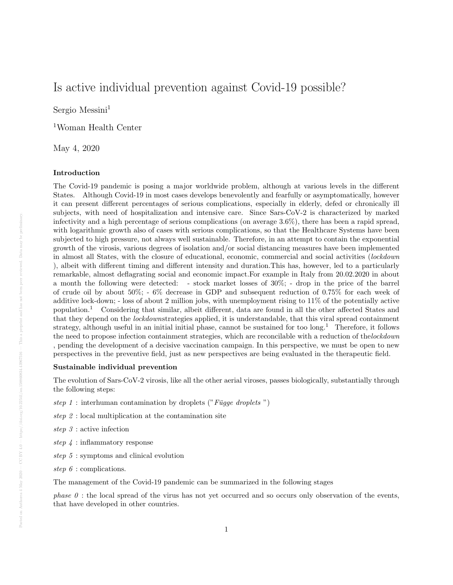# Is active individual prevention against Covid-19 possible?

Sergio Messini<sup>1</sup>

<sup>1</sup>Woman Health Center

May 4, 2020

#### Introduction

The Covid-19 pandemic is posing a major worldwide problem, although at various levels in the different States. Although Covid-19 in most cases develops benevolently and fearfully or asymptomatically, however it can present different percentages of serious complications, especially in elderly, defed or chronically ill subjects, with need of hospitalization and intensive care. Since Sars-CoV-2 is characterized by marked infectivity and a high percentage of serious complications (on average 3.6%), there has been a rapid spread, with logarithmic growth also of cases with serious complications, so that the Healthcare Systems have been subjected to high pressure, not always well sustainable. Therefore, in an attempt to contain the exponential growth of the virosis, various degrees of isolation and/or social distancing measures have been implemented in almost all States, with the closure of educational, economic, commercial and social activities (lockdown ), albeit with different timing and different intensity and duration.This has, however, led to a particularly remarkable, almost deflagrating social and economic impact.For example in Italy from 20.02.2020 in about a month the following were detected: - stock market losses of 30%; - drop in the price of the barrel of crude oil by about 50%; - 6% decrease in GDP and subsequent reduction of 0.75% for each week of additive lock-down; - loss of about 2 million jobs, with unemployment rising to 11% of the potentially active population.<sup>1</sup> Considering that similar, albeit different, data are found in all the other affected States and that they depend on the lockdownstrategies applied, it is understandable, that this viral spread containment strategy, although useful in an initial initial phase, cannot be sustained for too long.<sup>1</sup> Therefore, it follows the need to propose infection containment strategies, which are reconcilable with a reduction of the lockdown , pending the development of a decisive vaccination campaign. In this perspective, we must be open to new perspectives in the preventive field, just as new perspectives are being evaluated in the therapeutic field.

## Sustainable individual prevention

The evolution of Sars-CoV-2 virosis, like all the other aerial viroses, passes biologically, substantially through the following steps:

- step 1 : interhuman contamination by droplets ("Függe droplets")
- step 2 : local multiplication at the contamination site
- step 3 : active infection
- step 4 : inflammatory response
- step 5 : symptoms and clinical evolution
- step 6 : complications.

The management of the Covid-19 pandemic can be summarized in the following stages

*phase 0* : the local spread of the virus has not vet occurred and so occurs only observation of the events, that have developed in other countries.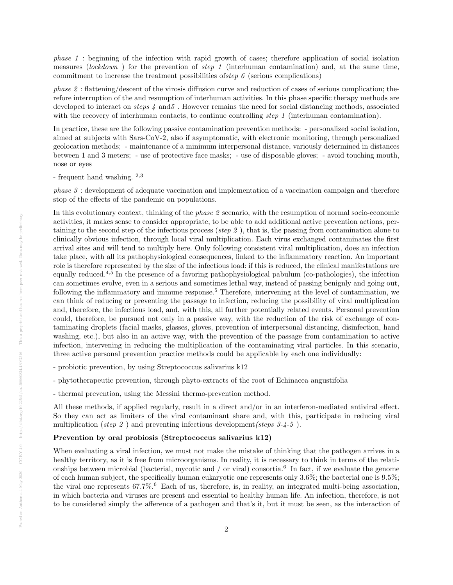phase 1 : beginning of the infection with rapid growth of cases; therefore application of social isolation measures (lockdown) for the prevention of step 1 (interhuman contamination) and, at the same time, commitment to increase the treatment possibilities of step  $\ell$  (serious complications)

phase 2 : flattening/descent of the virosis diffusion curve and reduction of cases of serious complication; therefore interruption of the and resumption of interhuman activities. In this phase specific therapy methods are developed to interact on steps 4 and5 . However remains the need for social distancing methods, associated with the recovery of interhuman contacts, to continue controlling step 1 (interhuman contamination).

In practice, these are the following passive contamination prevention methods: - personalized social isolation, aimed at subjects with Sars-CoV-2, also if asymptomatic, with electronic monitoring, through personalized geolocation methods; - maintenance of a minimum interpersonal distance, variously determined in distances between 1 and 3 meters; - use of protective face masks; - use of disposable gloves; - avoid touching mouth, nose or eyes

- frequent hand washing. 2,3

phase 3 : development of adequate vaccination and implementation of a vaccination campaign and therefore stop of the effects of the pandemic on populations.

In this evolutionary context, thinking of the phase 2 scenario, with the resumption of normal socio-economic activities, it makes sense to consider appropriate, to be able to add additional active prevention actions, pertaining to the second step of the infectious process (step 2 ), that is, the passing from contamination alone to clinically obvious infection, through local viral multiplication. Each virus exchanged contaminates the first arrival sites and will tend to multiply here. Only following consistent viral multiplication, does an infection take place, with all its pathophysiological consequences, linked to the inflammatory reaction. An important role is therefore represented by the size of the infectious load: if this is reduced, the clinical manifestations are equally reduced.4,5 In the presence of a favoring pathophysiological pabulum (co-pathologies), the infection can sometimes evolve, even in a serious and sometimes lethal way, instead of passing benignly and going out, following the inflammatory and immune response.<sup>5</sup> Therefore, intervening at the level of contamination, we can think of reducing or preventing the passage to infection, reducing the possibility of viral multiplication and, therefore, the infectious load, and, with this, all further potentially related events. Personal prevention could, therefore, be pursued not only in a passive way, with the reduction of the risk of exchange of contaminating droplets (facial masks, glasses, gloves, prevention of interpersonal distancing, disinfection, hand washing, etc.), but also in an active way, with the prevention of the passage from contamination to active infection, intervening in reducing the multiplication of the contaminating viral particles. In this scenario, three active personal prevention practice methods could be applicable by each one individually:

- probiotic prevention, by using Streptococcus salivarius k12
- phytotherapeutic prevention, through phyto-extracts of the root of Echinacea angustifolia
- thermal prevention, using the Messini thermo-prevention method.

All these methods, if applied regularly, result in a direct and/or in an interferon-mediated antiviral effect. So they can act as limiters of the viral contaminant share and, with this, participate in reducing viral multiplication (step 2) and preventing infectious development (steps  $3-4-5$ ).

## Prevention by oral probiosis (Streptococcus salivarius k12)

When evaluating a viral infection, we must not make the mistake of thinking that the pathogen arrives in a healthy territory, as it is free from microorganisms. In reality, it is necessary to think in terms of the relationships between microbial (bacterial, mycotic and  $/$  or viral) consortia.<sup>6</sup> In fact, if we evaluate the genome of each human subject, the specifically human eukaryotic one represents only 3.6%; the bacterial one is 9.5%; the viral one represents  $67.7\%$ .<sup>6</sup> Each of us, therefore, is, in reality, an integrated multi-being association, in which bacteria and viruses are present and essential to healthy human life. An infection, therefore, is not to be considered simply the afference of a pathogen and that's it, but it must be seen, as the interaction of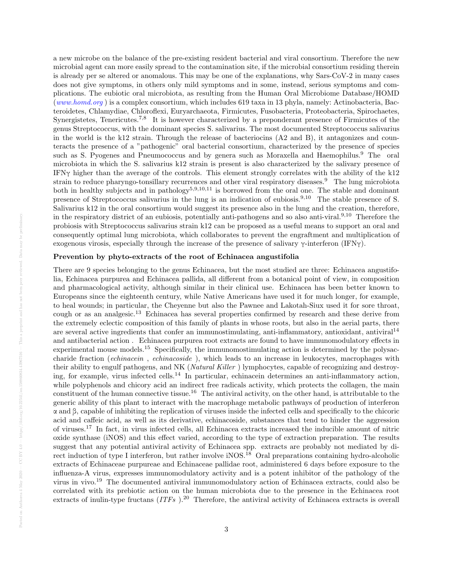a new microbe on the balance of the pre-existing resident bacterial and viral consortium. Therefore the new microbial agent can more easily spread to the contamination site, if the microbial consortium residing therein is already per se altered or anomalous. This may be one of the explanations, why Sars-CoV-2 in many cases does not give symptoms, in others only mild symptoms and in some, instead, serious symptoms and complications. The eubiotic oral microbiota, as resulting from the Human Oral Microbiome Database/HOMD ([www.homd.org](http://www.homd.org) ) is a complex consortium, which includes 619 taxa in 13 phyla, namely: Actinobacteria, Bacteroidetes, Chlamydiae, Chloroflexi, Euryarchaeota, Firmicutes, Fusobacteria, Proteobacteria, Spirochaetes, Synergistetes, Tenericutes.7,8 It is however characterized by a preponderant presence of Firmicutes of the genus Streptococcus, with the dominant species S. salivarius. The most documented Streptococcus salivarius in the world is the k12 strain. Through the release of bacteriocins (A2 and B), it antagonizes and counteracts the presence of a "pathogenic" oral bacterial consortium, characterized by the presence of species such as S. Pyogenes and Pneumococcus and by genera such as Moraxella and Haemophilus.<sup>9</sup> The oral microbiota in which the S. salivarius k12 strain is present is also characterized by the salivary presence of IFNγ higher than the average of the controls. This element strongly correlates with the ability of the k12 strain to reduce pharyngo-tonsillary recurrences and other viral respiratory diseases.<sup>9</sup> The lung microbiota both in healthy subjects and in pathology<sup>5,9,10,11</sup> is borrowed from the oral one. The stable and dominant presence of Streptococcus salivarius in the lung is an indication of eubiosis.9,10 The stable presence of S. Salivarius k12 in the oral consortium would suggest its presence also in the lung and the creation, therefore, in the respiratory district of an eubiosis, potentially anti-pathogens and so also anti-viral.<sup>9,10</sup> Therefore the probiosis with Streptococcus salivarius strain k12 can be proposed as a useful means to support an oral and consequently optimal lung microbiota, which collaborates to prevent the engraftment and multiplication of exogenous virosis, especially through the increase of the presence of salivary  $\gamma$ -interferon (IFN $\gamma$ ).

## Prevention by phyto-extracts of the root of Echinacea angustifolia

There are 9 species belonging to the genus Echinacea, but the most studied are three: Echinacea angustifolia, Echinacea purpurea and Echinacea pallida, all different from a botanical point of view, in composition and pharmacological activity, although similar in their clinical use. Echinacea has been better known to Europeans since the eighteenth century, while Native Americans have used it for much longer, for example, to heal wounds; in particular, the Cheyenne but also the Pawnee and Lakotah-Siux used it for sore throat, cough or as an analgesic.<sup>13</sup> Echinacea has several properties confirmed by research and these derive from the extremely eclectic composition of this family of plants in whose roots, but also in the aerial parts, there are several active ingredients that confer an immunostimulating, anti-inflammatory, antioxidant, antiviral<sup>14</sup> and antibacterial action . Echinacea purpurea root extracts are found to have immunomodulatory effects in experimental mouse models.<sup>15</sup> Specifically, the immunomostimulating action is determined by the polysaccharide fraction (echinacein , echinacoside ), which leads to an increase in leukocytes, macrophages with their ability to engulf pathogens, and NK (Natural Killer ) lymphocytes, capable of recognizing and destroying, for example, virus infected cells.<sup>14</sup> In particular, echinacein determines an anti-inflammatory action, while polyphenols and chicory acid an indirect free radicals activity, which protects the collagen, the main constituent of the human connective tissue.<sup>16</sup> The antiviral activity, on the other hand, is attributable to the generic ability of this plant to interact with the macrophage metabolic pathways of production of interferon α and β, capable of inhibiting the replication of viruses inside the infected cells and specifically to the chicoric acid and caffeic acid, as well as its derivative, echinacoside, substances that tend to hinder the aggression of viruses.<sup>17</sup> In fact, in virus infected cells, all Echinacea extracts increased the inducible amount of nitric oxide synthase (iNOS) and this effect varied, according to the type of extraction preparation. The results suggest that any potential antiviral activity of Echinacea spp. extracts are probably not mediated by direct induction of type I interferon, but rather involve iNOS.<sup>18</sup> Oral preparations containing hydro-alcoholic extracts of Echinaceae purpureae and Echinaceae pallidae root, administered 6 days before exposure to the influenza-A virus, expresses immunomodulatory activity and is a potent inhibitor of the pathology of the virus in vivo.<sup>19</sup> The documented antiviral immunomodulatory action of Echinacea extracts, could also be correlated with its prebiotic action on the human microbiota due to the presence in the Echinacea root extracts of inulin-type fructans  $(ITFs)$ .<sup>20</sup> Therefore, the antiviral activity of Echinacea extracts is overall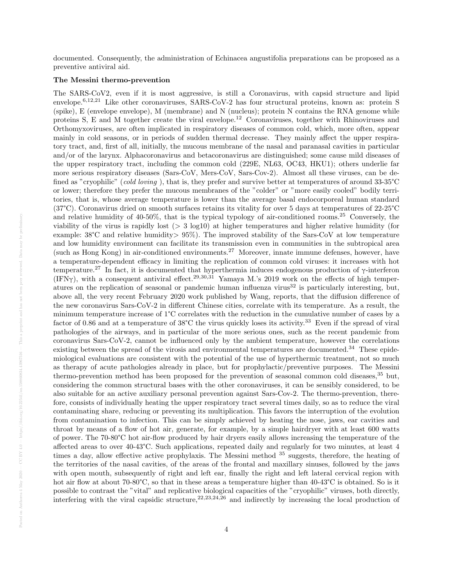documented. Consequently, the administration of Echinacea angustifolia preparations can be proposed as a preventive antiviral aid.

## The Messini thermo-prevention

The SARS-CoV2, even if it is most aggressive, is still a Coronavirus, with capsid structure and lipid envelope.6,12,21 Like other coronaviruses, SARS-CoV-2 has four structural proteins, known as: protein S (spike), E (envelope envelope), M (membrane) and N (nucleus); protein N contains the RNA genome while proteins S, E and M together create the viral envelope.<sup>12</sup> Coronaviruses, together with Rhinoviruses and Orthomyxoviruses, are often implicated in respiratory diseases of common cold, which, more often, appear mainly in cold seasons, or in periods of sudden thermal decrease. They mainly affect the upper respiratory tract, and, first of all, initially, the mucous membrane of the nasal and paranasal cavities in particular and/or of the larynx. Alphacoronavirus and betacoronavirus are distinguished; some cause mild diseases of the upper respiratory tract, including the common cold (229E, NL63, OC43, HKU1); others underlie far more serious respiratory diseases (Sars-CoV, Mers-CoV, Sars-Cov-2). Almost all these viruses, can be defined as "cryophilic" (cold loving), that is, they prefer and survive better at temperatures of around 33-35°C or lower; therefore they prefer the mucous membranes of the "colder" or "more easily cooled" bodily territories, that is, whose average temperature is lower than the average basal endocorporeal human standard (37°C). Coronavirus dried on smooth surfaces retains its vitality for over 5 days at temperatures of 22-25°C and relative humidity of 40-50%, that is the typical typology of air-conditioned rooms.<sup>25</sup> Conversely, the viability of the virus is rapidly lost  $(> 3 \log 10)$  at higher temperatures and higher relative humidity (for example: 38°C and relative humidity> 95%). The improved stability of the Sars-CoV at low temperature and low humidity environment can facilitate its transmission even in communities in the subtropical area (such as Hong Kong) in air-conditioned environments.<sup>27</sup> Moreover, innate immune defenses, however, have a temperature-dependent efficacy in limiting the replication of common cold viruses: it increases with hot temperature.<sup>27</sup> In fact, it is documented that hyperthermia induces endogenous production of γ-interferon (IFN $\gamma$ ), with a consequent antiviral effect.<sup>29,30,31</sup> Yamaya M.'s 2019 work on the effects of high temperatures on the replication of seasonal or pandemic human influenza virus<sup>32</sup> is particularly interesting, but, above all, the very recent February 2020 work published by Wang, reports, that the diffusion difference of the new coronavirus Sars-CoV-2 in different Chinese cities, correlate with its temperature. As a result, the minimum temperature increase of 1°C correlates with the reduction in the cumulative number of cases by a factor of 0.86 and at a temperature of 38°C the virus quickly loses its activity.<sup>33</sup> Even if the spread of viral pathologies of the airways, and in particular of the more serious ones, such as the recent pandemic from coronavirus Sars-CoV-2, cannot be influenced only by the ambient temperature, however the correlations existing between the spread of the virosis and environmental temperatures are documented.<sup>34</sup> These epidemiological evaluations are consistent with the potential of the use of hyperthermic treatment, not so much as therapy of acute pathologies already in place, but for prophylactic/preventive purposes. The Messini thermo-prevention method has been proposed for the prevention of seasonal common cold diseases,<sup>35</sup> but, considering the common structural bases with the other coronaviruses, it can be sensibly considered, to be also suitable for an active auxiliary personal prevention against Sars-Cov-2. The thermo-prevention, therefore, consists of individually heating the upper respiratory tract several times daily, so as to reduce the viral contaminating share, reducing or preventing its multiplication. This favors the interruption of the evolution from contamination to infection. This can be simply achieved by heating the nose, jaws, ear cavities and throat by means of a flow of hot air, generate, for example, by a simple hairdryer with at least 600 watts of power. The 70-80°C hot air-flow produced by hair dryers easily allows increasing the temperature of the affected areas to over 40-43°C. Such applications, repeated daily and regularly for two minutes, at least 4 times a day, allow effective active prophylaxis. The Messini method <sup>35</sup> suggests, therefore, the heating of the territories of the nasal cavities, of the areas of the frontal and maxillary sinuses, followed by the jaws with open mouth, subsequently of right and left ear, finally the right and left lateral cervical region with hot air flow at about 70-80°C, so that in these areas a temperature higher than  $40-43^{\circ}\text{C}$  is obtained. So is it possible to contrast the "vital" and replicative biological capacities of the "cryophilic" viruses, both directly, interfering with the viral capsidic structure,  $22,23,24,26$  and indirectly by increasing the local production of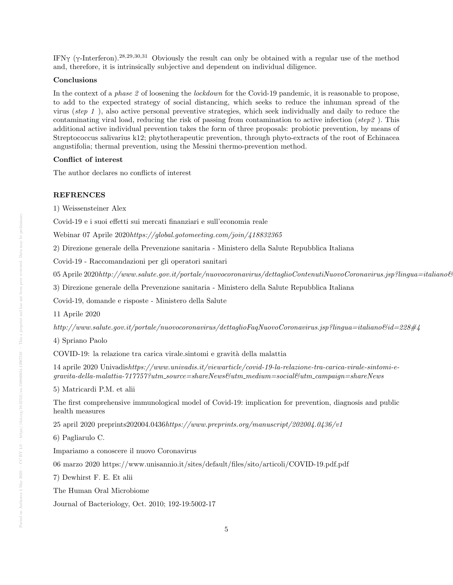IFN $\gamma$  ( $\gamma$ -Interferon).<sup>28,29,30,31</sup> Obviously the result can only be obtained with a regular use of the method and, therefore, it is intrinsically subjective and dependent on individual diligence.

## Conclusions

In the context of a phase 2 of loosening the *lockdown* for the Covid-19 pandemic, it is reasonable to propose, to add to the expected strategy of social distancing, which seeks to reduce the inhuman spread of the virus (step 1 ), also active personal preventive strategies, which seek individually and daily to reduce the contaminating viral load, reducing the risk of passing from contamination to active infection ( $step2$ ). This additional active individual prevention takes the form of three proposals: probiotic prevention, by means of Streptococcus salivarius k12; phytotherapeutic prevention, through phyto-extracts of the root of Echinacea angustifolia; thermal prevention, using the Messini thermo-prevention method.

## Conflict of interest

The author declares no conflicts of interest

## **REFRENCES**

1) Weissensteiner Alex

Covid-19 e i suoi effetti sui mercati finanziari e sull'economia reale

Webinar 07 Aprile 2020https://global.gotomeeting.com/join/418832365

2) Direzione generale della Prevenzione sanitaria - Ministero della Salute Repubblica Italiana

Covid-19 - Raccomandazioni per gli operatori sanitari

05 Aprile 2020http://www.salute.gov.it/portale/nuovocoronavirus/dettaglioContenutiNuovoCoronavirus.jsp?lingua=italiano&

3) Direzione generale della Prevenzione sanitaria - Ministero della Salute Repubblica Italiana

Covid-19, domande e risposte - Ministero della Salute

11 Aprile 2020

http://www.salute.gov.it/portale/nuovocoronavirus/dettaglioFaqNuovoCoronavirus.jsp?lingua=italiano&id=228#4

4) Spriano Paolo

COVID-19: la relazione tra carica virale.sintomi e gravità della malattia

14 aprile 2020 Univadishttps://www.univadis.it/viewarticle/covid-19-la-relazione-tra-carica-virale-sintomi-e $gravita$ -della-malattia-717757?utm\_source=shareNews&utm\_medium=social&utm\_campaign=shareNews

5) Matricardi P.M. et alii

The first comprehensive immunological model of Covid-19: implication for prevention, diagnosis and public health measures

25 april 2020 preprints202004.0436https://www.preprints.org/manuscript/202004.0436/v1

6) Pagliarulo C.

Impariamo a conoscere il nuovo Coronavirus

06 marzo 2020 https://www.unisannio.it/sites/default/files/sito/articoli/COVID-19.pdf.pdf

7) Dewhirst F. E. Et alii

The Human Oral Microbiome

Journal of Bacteriology, Oct. 2010; 192-19:5002-17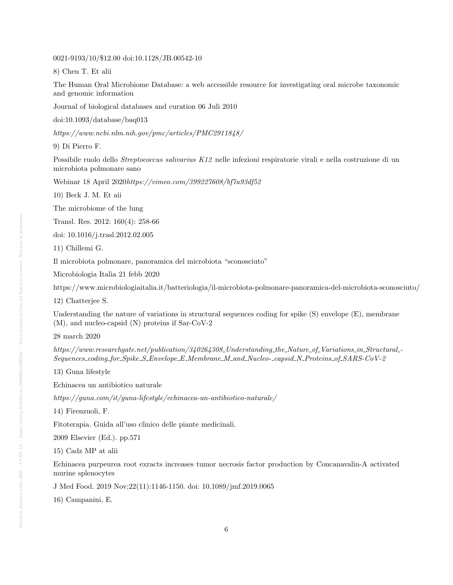0021-9193/10/\$12.00 doi:10.1128/JB.00542-10

8) Chen T. Et alii

The Human Oral Microbiome Database: a web accessible resource for investigating oral microbe taxonomic and genomic information

Journal of biological databases and curation 06 Juli 2010

doi:10.1093/database/baq013

https://www.ncbi.nlm.nih.gov/pmc/articles/PMC2911848/

9) Di Pierro F.

Possibile ruolo dello Streptococcus salivarius K12 nelle infezioni respiratorie virali e nella costruzione di un microbiota polmonare sano

Webinar 18 April 2020https://vimeo.com/399227608/bf7a93df52

10) Beck J. M. Et aii

The microbiome of the lung

Transl. Res. 2012: 160(4): 258-66

doi: 10.1016/j.trasl.2012.02.005

11) Chillemi G.

Il microbiota polmonare, panoramica del microbiota "sconosciuto"

Microbiologia Italia 21 febb 2020

https://www.microbiologiaitalia.it/batteriologia/il-microbiota-polmonare-panoramica-del-microbiota-sconosciuto/

12) Chatterjee S.

Understanding the nature of variations in structural sequences coding for spike (S) envelope (E), membrane (M), and nucleo-capsid (N) proteins if Sar-CoV-2

28 march 2020

https://www.researchgate.net/publication/340264308 Understanding the Nature of Variations in Structural -Sequences coding for Spike S Envelope E Membrane M and Nucleo- capsid N Proteins of SARS-CoV-2

13) Guna lifestyle

Echinacea un antibiotico naturale

https://guna.com/it/guna-lifestyle/echinacea-un-antibiotico-naturale/

14) Firenzuoli, F.

Fitoterapia. Guida all'uso clinico delle piante medicinali.

2009 Elsevier (Ed.). pp.571

15) Cadz MP at alii

Echinacea purpeurea root exracts increases tumor necrosis factor production by Concanavalin-A activated murine splenocytes

J Med Food. 2019 Nov;22(11):1146-1150. doi: 10.1089/jmf.2019.0065

16) Campanini, E.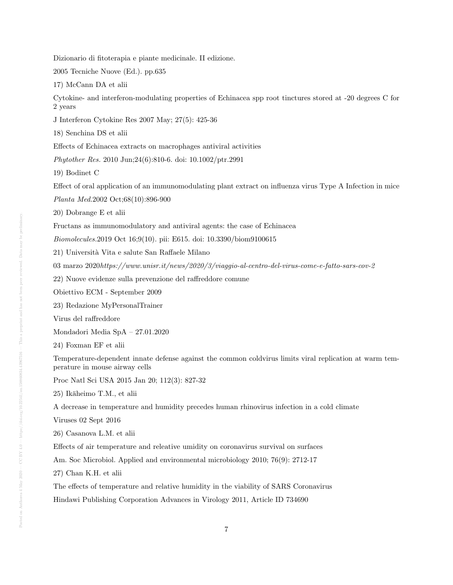Dizionario di fitoterapia e piante medicinale. II edizione.

2005 Tecniche Nuove (Ed.). pp.635

17) McCann DA et alii

Cytokine- and interferon-modulating properties of Echinacea spp root tinctures stored at -20 degrees C for 2 years

J Interferon Cytokine Res 2007 May; 27(5): 425-36

18) Senchina DS et alii

Effects of Echinacea extracts on macrophages antiviral activities

Phytother Res. 2010 Jun;24(6):810-6. doi: 10.1002/ptr.2991

19) Bodinet C

Effect of oral application of an immunomodulating plant extract on influenza virus Type A Infection in mice

Planta Med.2002 Oct;68(10):896-900

20) Dobrange E et alii

Fructans as immunomodulatory and antiviral agents: the case of Echinacea

Biomolecules.2019 Oct 16;9(10). pii: E615. doi: 10.3390/biom9100615

21) Universit`a Vita e salute San Raffaele Milano

03 marzo 2020https://www.unisr.it/news/2020/3/viaggio-al-centro-del-virus-come-e-fatto-sars-cov-2

22) Nuove evidenze sulla prevenzione del raffreddore comune

Obiettivo ECM - September 2009

23) Redazione MyPersonalTrainer

Virus del raffreddore

Mondadori Media SpA – 27.01.2020

24) Foxman EF et alii

Temperature-dependent innate defense against the common coldvirus limits viral replication at warm temperature in mouse airway cells

Proc Natl Sci USA 2015 Jan 20; 112(3): 827-32

25) Ikäheimo T.M., et alii

A decrease in temperature and humidity precedes human rhinovirus infection in a cold climate

Viruses 02 Sept 2016

26) Casanova L.M. et alii

Effects of air temperature and releative umidity on coronavirus survival on surfaces

Am. Soc Microbiol. Applied and environmental microbiology 2010; 76(9): 2712-17

27) Chan K.H. et alii

The effects of temperature and relative humidity in the viability of SARS Coronavirus

Hindawi Publishing Corporation Advances in Virology 2011, Article ID 734690